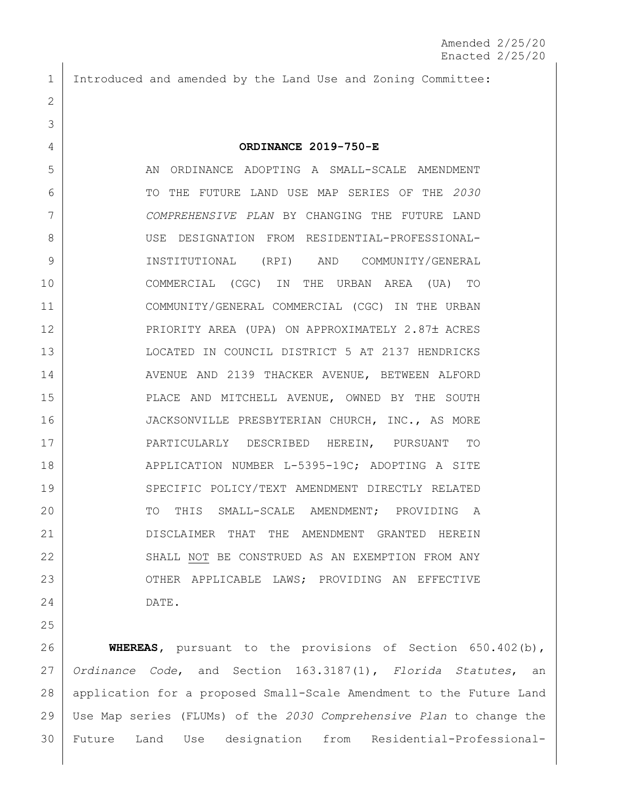Introduced and amended by the Land Use and Zoning Committee:

### **ORDINANCE 2019-750-E**

 AN ORDINANCE ADOPTING A SMALL-SCALE AMENDMENT TO THE FUTURE LAND USE MAP SERIES OF THE *2030 COMPREHENSIVE PLAN* BY CHANGING THE FUTURE LAND USE DESIGNATION FROM RESIDENTIAL-PROFESSIONAL- INSTITUTIONAL (RPI) AND COMMUNITY/GENERAL COMMERCIAL (CGC) IN THE URBAN AREA (UA) TO COMMUNITY/GENERAL COMMERCIAL (CGC) IN THE URBAN 12 | PRIORITY AREA (UPA) ON APPROXIMATELY 2.87± ACRES LOCATED IN COUNCIL DISTRICT 5 AT 2137 HENDRICKS 14 | AVENUE AND 2139 THACKER AVENUE, BETWEEN ALFORD PLACE AND MITCHELL AVENUE, OWNED BY THE SOUTH 16 JACKSONVILLE PRESBYTERIAN CHURCH, INC., AS MORE PARTICULARLY DESCRIBED HEREIN, PURSUANT TO 18 | APPLICATION NUMBER L-5395-19C; ADOPTING A SITE 19 SPECIFIC POLICY/TEXT AMENDMENT DIRECTLY RELATED 20 | TO THIS SMALL-SCALE AMENDMENT; PROVIDING A DISCLAIMER THAT THE AMENDMENT GRANTED HEREIN 22 SHALL NOT BE CONSTRUED AS AN EXEMPTION FROM ANY 23 | OTHER APPLICABLE LAWS; PROVIDING AN EFFECTIVE DATE.

 **WHEREAS,** pursuant to the provisions of Section 650.402(b), *Ordinance Code*, and Section 163.3187(1), *Florida Statutes*, an application for a proposed Small-Scale Amendment to the Future Land Use Map series (FLUMs) of the *2030 Comprehensive Plan* to change the Future Land Use designation from Residential-Professional-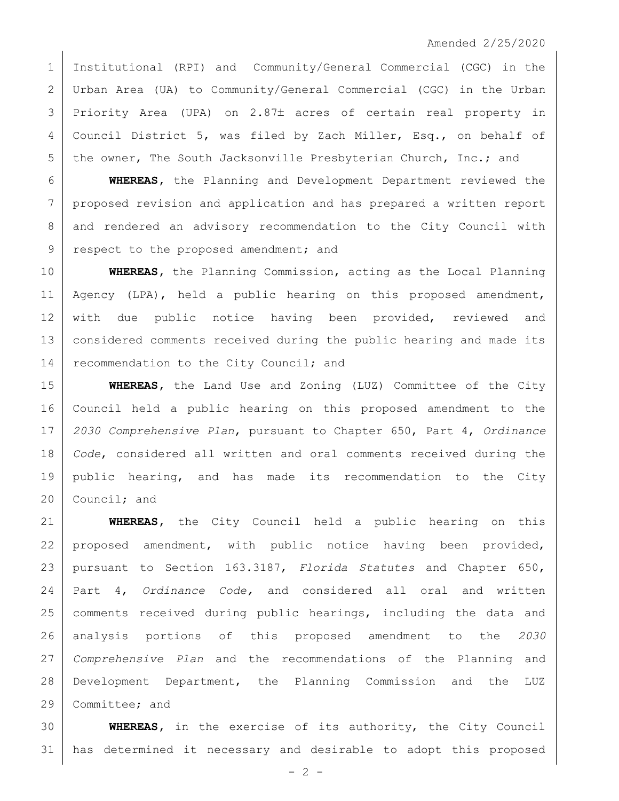Institutional (RPI) and Community/General Commercial (CGC) in the Urban Area (UA) to Community/General Commercial (CGC) in the Urban 3 Priority Area (UPA) on 2.87± acres of certain real property in 4 Council District 5, was filed by Zach Miller, Esq., on behalf of 5 the owner, The South Jacksonville Presbyterian Church, Inc.; and

 **WHEREAS,** the Planning and Development Department reviewed the proposed revision and application and has prepared a written report and rendered an advisory recommendation to the City Council with 9 respect to the proposed amendment; and

 **WHEREAS,** the Planning Commission, acting as the Local Planning 11 | Agency (LPA), held a public hearing on this proposed amendment, 12 with due public notice having been provided, reviewed and considered comments received during the public hearing and made its 14 recommendation to the City Council; and

 **WHEREAS,** the Land Use and Zoning (LUZ) Committee of the City Council held a public hearing on this proposed amendment to the *2030 Comprehensive Plan*, pursuant to Chapter 650, Part 4, *Ordinance Code*, considered all written and oral comments received during the public hearing, and has made its recommendation to the City Council; and

 **WHEREAS,** the City Council held a public hearing on this 22 proposed amendment, with public notice having been provided, pursuant to Section 163.3187, *Florida Statutes* and Chapter 650, Part 4, *Ordinance Code,* and considered all oral and written 25 | comments received during public hearings, including the data and analysis portions of this proposed amendment to the *2030 Comprehensive Plan* and the recommendations of the Planning and Development Department, the Planning Commission and the LUZ 29 Committee; and

 **WHEREAS,** in the exercise of its authority, the City Council has determined it necessary and desirable to adopt this proposed

 $- 2 -$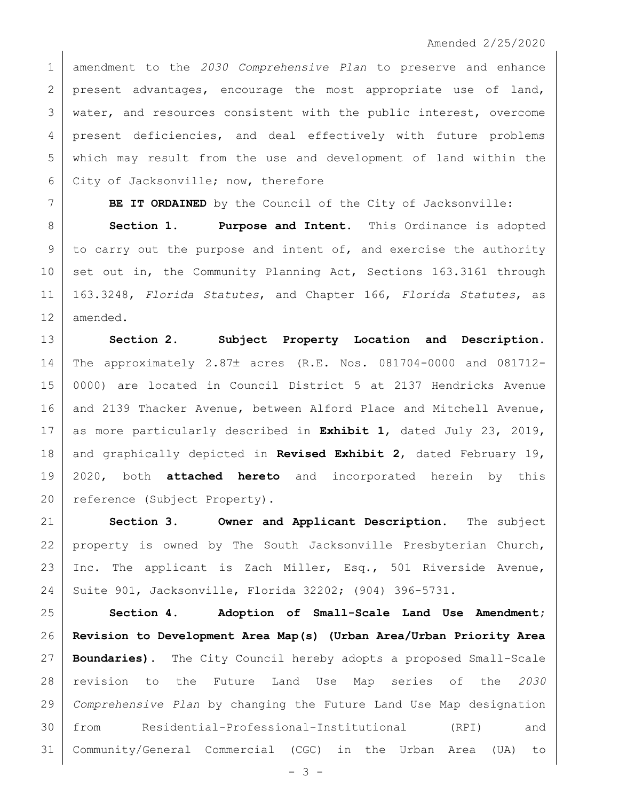amendment to the *2030 Comprehensive Plan* to preserve and enhance 2 present advantages, encourage the most appropriate use of land, 3 | water, and resources consistent with the public interest, overcome 4 | present deficiencies, and deal effectively with future problems which may result from the use and development of land within the City of Jacksonville; now, therefore

**BE IT ORDAINED** by the Council of the City of Jacksonville:

 **Section 1. Purpose and Intent.** This Ordinance is adopted to carry out the purpose and intent of, and exercise the authority 10 set out in, the Community Planning Act, Sections 163.3161 through 163.3248, *Florida Statutes*, and Chapter 166, *Florida Statutes*, as amended.

 **Section 2. Subject Property Location and Description.** 14 | The approximately 2.87± acres (R.E. Nos. 081704-0000 and 081712- 0000) are located in Council District 5 at 2137 Hendricks Avenue 16 and 2139 Thacker Avenue, between Alford Place and Mitchell Avenue, as more particularly described in **Exhibit 1**, dated July 23, 2019, and graphically depicted in **Revised Exhibit 2**, dated February 19, 2020, both **attached hereto** and incorporated herein by this 20 | reference (Subject Property).

 **Section 3. Owner and Applicant Description.** The subject property is owned by The South Jacksonville Presbyterian Church, Inc. The applicant is Zach Miller, Esq., 501 Riverside Avenue, Suite 901, Jacksonville, Florida 32202; (904) 396-5731.

 **Section 4. Adoption of Small-Scale Land Use Amendment; Revision to Development Area Map(s) (Urban Area/Urban Priority Area Boundaries).** The City Council hereby adopts a proposed Small-Scale revision to the Future Land Use Map series of the *2030 Comprehensive Plan* by changing the Future Land Use Map designation from Residential-Professional-Institutional (RPI) and Community/General Commercial (CGC) in the Urban Area (UA) to

 $- 3 -$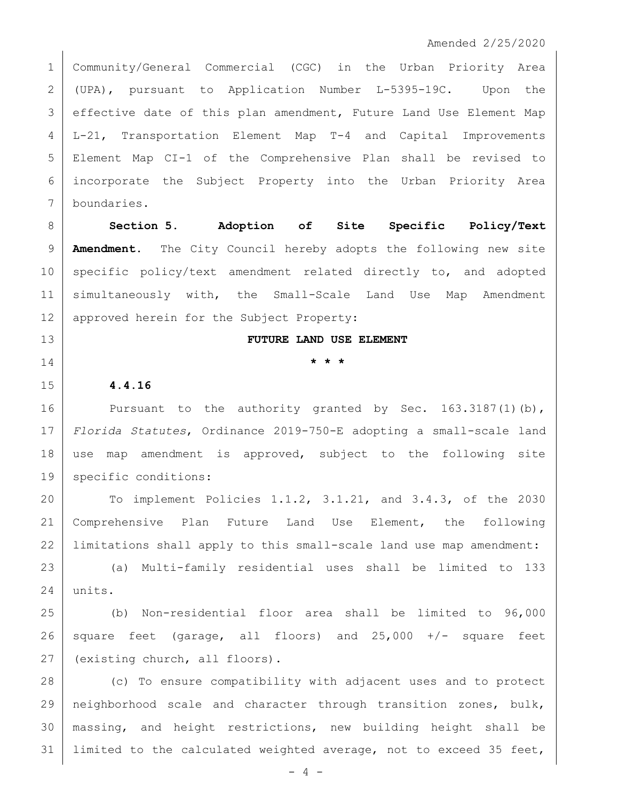Community/General Commercial (CGC) in the Urban Priority Area (UPA), pursuant to Application Number L-5395-19C. Upon the effective date of this plan amendment, Future Land Use Element Map L-21, Transportation Element Map T-4 and Capital Improvements Element Map CI-1 of the Comprehensive Plan shall be revised to incorporate the Subject Property into the Urban Priority Area boundaries.

 **Section 5. Adoption of Site Specific Policy/Text Amendment.** The City Council hereby adopts the following new site 10 specific policy/text amendment related directly to, and adopted simultaneously with, the Small-Scale Land Use Map Amendment 12 | approved herein for the Subject Property:

## **FUTURE LAND USE ELEMENT**

# **\* \* \***

# **4.4.16**

16 Pursuant to the authority granted by Sec. 163.3187(1)(b), *Florida Statutes*, Ordinance 2019-750-E adopting a small-scale land use map amendment is approved, subject to the following site 19 | specific conditions:

 To implement Policies 1.1.2, 3.1.21, and 3.4.3, of the 2030 Comprehensive Plan Future Land Use Element, the following 22 | limitations shall apply to this small-scale land use map amendment:

 (a) Multi-family residential uses shall be limited to 133 units.

 (b) Non-residential floor area shall be limited to 96,000 26 square feet (garage, all floors) and  $25,000$  +/- square feet 27 (existing church, all floors).

 (c) To ensure compatibility with adjacent uses and to protect neighborhood scale and character through transition zones, bulk, massing, and height restrictions, new building height shall be 31 | limited to the calculated weighted average, not to exceed 35 feet,

 $-4 -$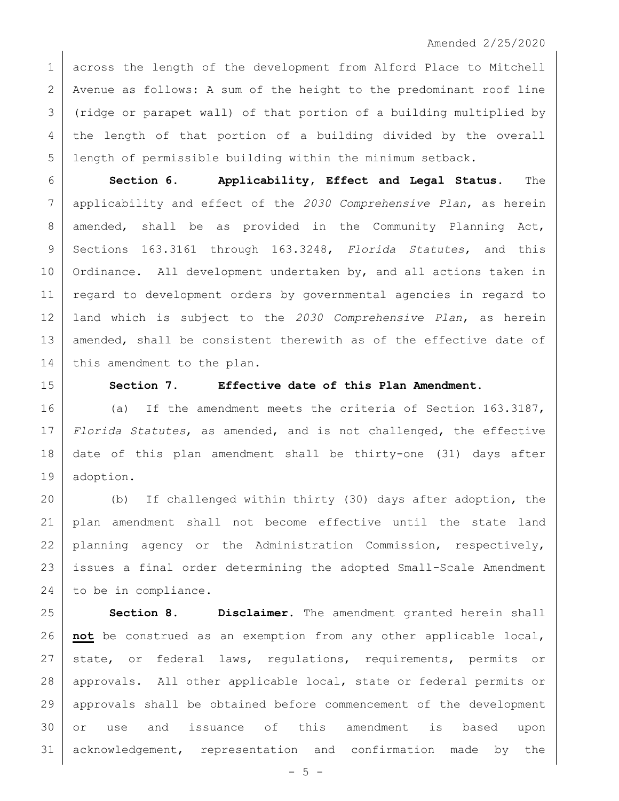1 across the length of the development from Alford Place to Mitchell 2 Avenue as follows: A sum of the height to the predominant roof line (ridge or parapet wall) of that portion of a building multiplied by the length of that portion of a building divided by the overall length of permissible building within the minimum setback.

 **Section 6. Applicability, Effect and Legal Status.** The applicability and effect of the *2030 Comprehensive Plan*, as herein 8 amended, shall be as provided in the Community Planning Act, Sections 163.3161 through 163.3248, *Florida Statutes*, and this Ordinance. All development undertaken by, and all actions taken in 11 | regard to development orders by governmental agencies in regard to land which is subject to the *2030 Comprehensive Plan*, as herein 13 amended, shall be consistent therewith as of the effective date of 14 this amendment to the plan.

## **Section 7. Effective date of this Plan Amendment.**

16 (a) If the amendment meets the criteria of Section 163.3187, *Florida Statutes*, as amended, and is not challenged, the effective date of this plan amendment shall be thirty-one (31) days after adoption.

 (b) If challenged within thirty (30) days after adoption, the plan amendment shall not become effective until the state land 22 planning agency or the Administration Commission, respectively, issues a final order determining the adopted Small-Scale Amendment 24 to be in compliance.

 **Section 8. Disclaimer.** The amendment granted herein shall **not** be construed as an exemption from any other applicable local, state, or federal laws, regulations, requirements, permits or approvals. All other applicable local, state or federal permits or approvals shall be obtained before commencement of the development or use and issuance of this amendment is based upon acknowledgement, representation and confirmation made by the

 $-5 -$